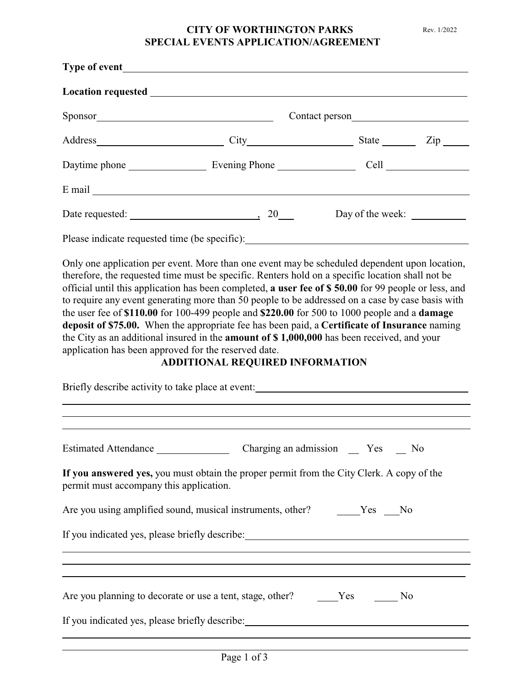## **CITY OF WORTHINGTON PARKS** Rev. 1/2022 **SPECIAL EVENTS APPLICATION/AGREEMENT**

| Sponsor                                       |                             |                  |  |
|-----------------------------------------------|-----------------------------|------------------|--|
|                                               |                             | State <u>Zip</u> |  |
|                                               | Daytime phone Evening Phone |                  |  |
|                                               |                             |                  |  |
|                                               | Date requested: 20          | Day of the week: |  |
| Please indicate requested time (be specific): |                             |                  |  |

Only one application per event. More than one event may be scheduled dependent upon location, therefore, the requested time must be specific. Renters hold on a specific location shall not be official until this application has been completed, **a user fee of \$ 50.00** for 99 people or less, and to require any event generating more than 50 people to be addressed on a case by case basis with the user fee of **\$110.00** for 100-499 people and **\$220.00** for 500 to 1000 people and a **damage deposit of \$75.00.** When the appropriate fee has been paid, a **Certificate of Insurance** naming the City as an additional insured in the **amount of \$ 1,000,000** has been received, and your application has been approved for the reserved date.

## **ADDITIONAL REQUIRED INFORMATION**

| Briefly describe activity to take place at event: _______________________________                                                    |  |  |  |  |
|--------------------------------------------------------------------------------------------------------------------------------------|--|--|--|--|
|                                                                                                                                      |  |  |  |  |
|                                                                                                                                      |  |  |  |  |
| If you answered yes, you must obtain the proper permit from the City Clerk. A copy of the<br>permit must accompany this application. |  |  |  |  |
| Are you using amplified sound, musical instruments, other? Yes No                                                                    |  |  |  |  |
| If you indicated yes, please briefly describe: _________________________________                                                     |  |  |  |  |
|                                                                                                                                      |  |  |  |  |
| Are you planning to decorate or use a tent, stage, other? Yes<br>No                                                                  |  |  |  |  |
| If you indicated yes, please briefly describe: _________________________________                                                     |  |  |  |  |
|                                                                                                                                      |  |  |  |  |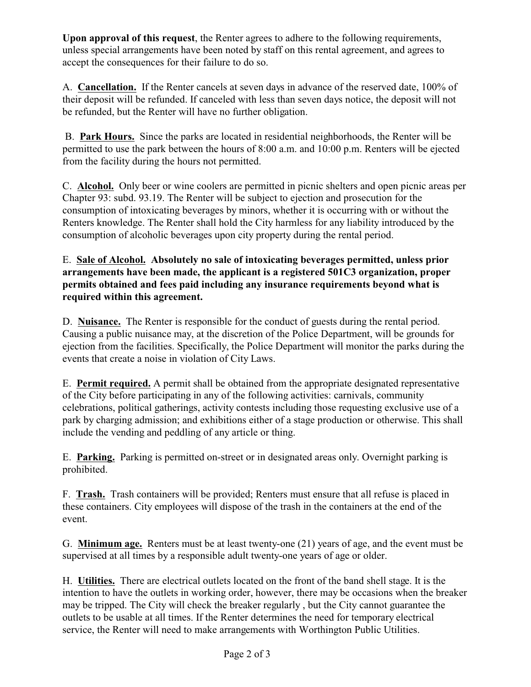**Upon approval of this request**, the Renter agrees to adhere to the following requirements, unless special arrangements have been noted by staff on this rental agreement, and agrees to accept the consequences for their failure to do so.

A. **Cancellation.** If the Renter cancels at seven days in advance of the reserved date, 100% of their deposit will be refunded. If canceled with less than seven days notice, the deposit will not be refunded, but the Renter will have no further obligation.

 B. **Park Hours.** Since the parks are located in residential neighborhoods, the Renter will be permitted to use the park between the hours of 8:00 a.m. and 10:00 p.m. Renters will be ejected from the facility during the hours not permitted.

C. **Alcohol.** Only beer or wine coolers are permitted in picnic shelters and open picnic areas per Chapter 93: subd. 93.19. The Renter will be subject to ejection and prosecution for the consumption of intoxicating beverages by minors, whether it is occurring with or without the Renters knowledge. The Renter shall hold the City harmless for any liability introduced by the consumption of alcoholic beverages upon city property during the rental period.

## E. **Sale of Alcohol. Absolutely no sale of intoxicating beverages permitted, unless prior arrangements have been made, the applicant is a registered 501C3 organization, proper permits obtained and fees paid including any insurance requirements beyond what is required within this agreement.**

D. **Nuisance.** The Renter is responsible for the conduct of guests during the rental period. Causing a public nuisance may, at the discretion of the Police Department, will be grounds for ejection from the facilities. Specifically, the Police Department will monitor the parks during the events that create a noise in violation of City Laws.

E. **Permit required.** A permit shall be obtained from the appropriate designated representative of the City before participating in any of the following activities: carnivals, community celebrations, political gatherings, activity contests including those requesting exclusive use of a park by charging admission; and exhibitions either of a stage production or otherwise. This shall include the vending and peddling of any article or thing.

E. **Parking.** Parking is permitted on-street or in designated areas only. Overnight parking is prohibited.

F. **Trash.** Trash containers will be provided; Renters must ensure that all refuse is placed in these containers. City employees will dispose of the trash in the containers at the end of the event.

G. **Minimum age.** Renters must be at least twenty-one (21) years of age, and the event must be supervised at all times by a responsible adult twenty-one years of age or older.

H. **Utilities.** There are electrical outlets located on the front of the band shell stage. It is the intention to have the outlets in working order, however, there may be occasions when the breaker may be tripped. The City will check the breaker regularly , but the City cannot guarantee the outlets to be usable at all times. If the Renter determines the need for temporary electrical service, the Renter will need to make arrangements with Worthington Public Utilities.